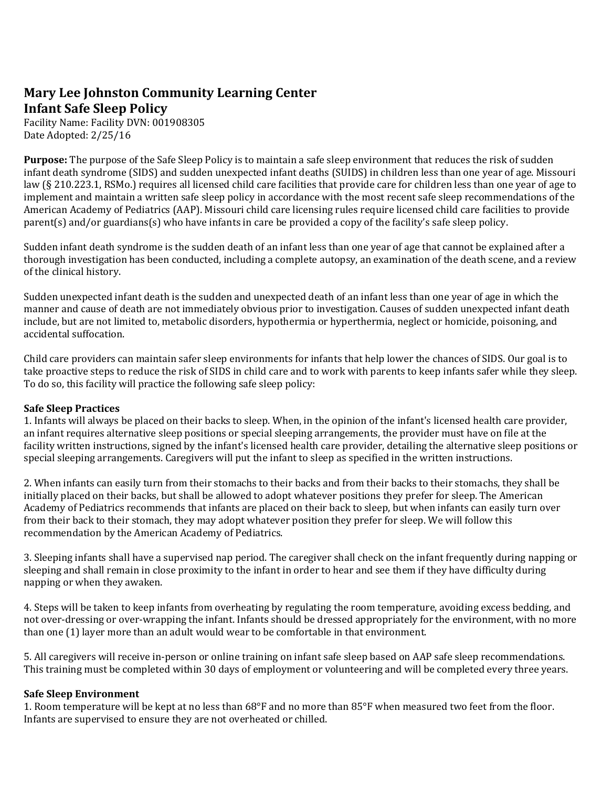## **Mary Lee Johnston Community Learning Center Infant Safe Sleep Policy**

Facility Name: Facility DVN: 001908305 Date Adopted: 2/25/16

**Purpose:** The purpose of the Safe Sleep Policy is to maintain a safe sleep environment that reduces the risk of sudden infant death syndrome (SIDS) and sudden unexpected infant deaths (SUIDS) in children less than one year of age. Missouri law (§ 210.223.1, RSMo.) requires all licensed child care facilities that provide care for children less than one year of age to implement and maintain a written safe sleep policy in accordance with the most recent safe sleep recommendations of the American Academy of Pediatrics (AAP). Missouri child care licensing rules require licensed child care facilities to provide parent(s) and/or guardians(s) who have infants in care be provided a copy of the facility's safe sleep policy.

Sudden infant death syndrome is the sudden death of an infant less than one year of age that cannot be explained after a thorough investigation has been conducted, including a complete autopsy, an examination of the death scene, and a review of the clinical history.

Sudden unexpected infant death is the sudden and unexpected death of an infant less than one year of age in which the manner and cause of death are not immediately obvious prior to investigation. Causes of sudden unexpected infant death include, but are not limited to, metabolic disorders, hypothermia or hyperthermia, neglect or homicide, poisoning, and accidental suffocation.

Child care providers can maintain safer sleep environments for infants that help lower the chances of SIDS. Our goal is to take proactive steps to reduce the risk of SIDS in child care and to work with parents to keep infants safer while they sleep. To do so, this facility will practice the following safe sleep policy:

## **Safe Sleep Practices**

1. Infants will always be placed on their backs to sleep. When, in the opinion of the infant's licensed health care provider, an infant requires alternative sleep positions or special sleeping arrangements, the provider must have on file at the facility written instructions, signed by the infant's licensed health care provider, detailing the alternative sleep positions or special sleeping arrangements. Caregivers will put the infant to sleep as specified in the written instructions.

2. When infants can easily turn from their stomachs to their backs and from their backs to their stomachs, they shall be initially placed on their backs, but shall be allowed to adopt whatever positions they prefer for sleep. The American Academy of Pediatrics recommends that infants are placed on their back to sleep, but when infants can easily turn over from their back to their stomach, they may adopt whatever position they prefer for sleep. We will follow this recommendation by the American Academy of Pediatrics.

3. Sleeping infants shall have a supervised nap period. The caregiver shall check on the infant frequently during napping or sleeping and shall remain in close proximity to the infant in order to hear and see them if they have difficulty during napping or when they awaken.

4. Steps will be taken to keep infants from overheating by regulating the room temperature, avoiding excess bedding, and not over-dressing or over-wrapping the infant. Infants should be dressed appropriately for the environment, with no more than one (1) layer more than an adult would wear to be comfortable in that environment.

5. All caregivers will receive in-person or online training on infant safe sleep based on AAP safe sleep recommendations. This training must be completed within 30 days of employment or volunteering and will be completed every three years.

## **Safe Sleep Environment**

1. Room temperature will be kept at no less than 68°F and no more than 85°F when measured two feet from the floor. Infants are supervised to ensure they are not overheated or chilled.